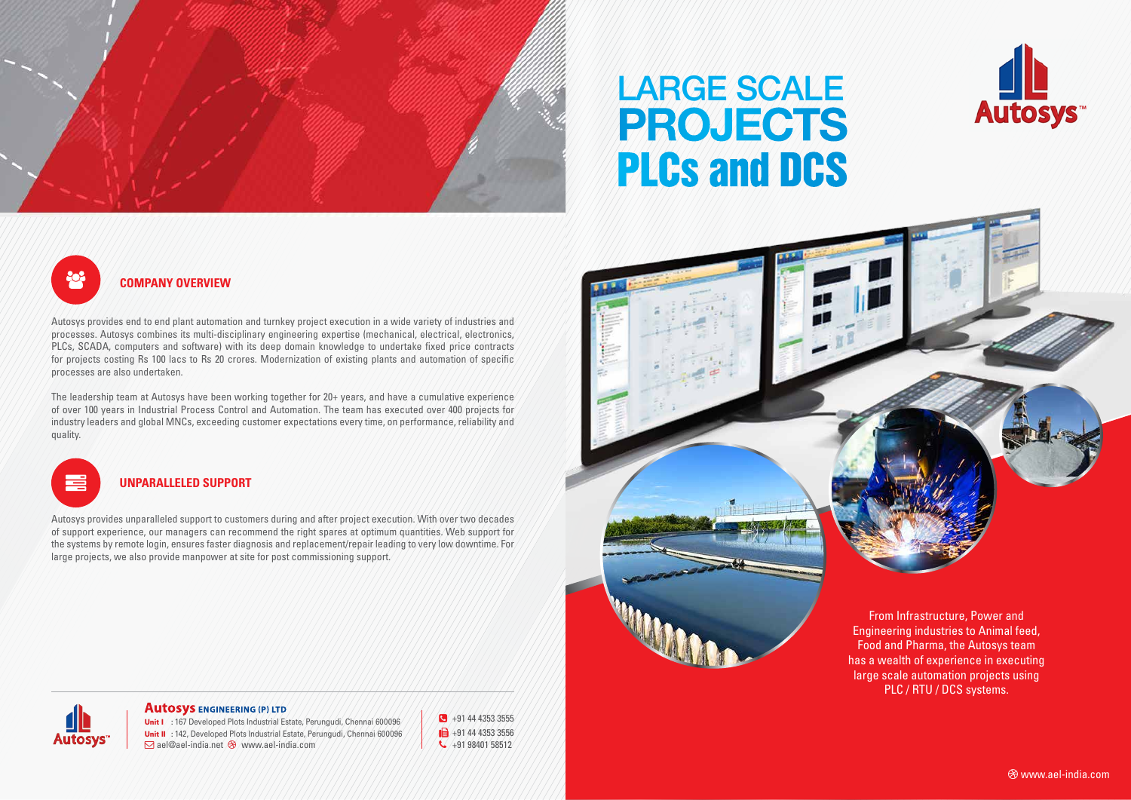

# PLCs and DCS Large scale **PROJECTS**





large scale automation projects using PLC / RTU / DCS systems.

 **Company Overview**

Autosys provides end to end plant automation and turnkey project execution in a wide variety of industries and processes. Autosys combines its multi-disciplinary engineering expertise (mechanical, electrical, electronics, PLCs, SCADA, computers and software) with its deep domain knowledge to undertake fixed price contracts for projects costing Rs 100 lacs to Rs 20 crores. Modernization of existing plants and automation of specific processes are also undertaken.

The leadership team at Autosys have been working together for 20+ years, and have a cumulative experience of over 100 years in Industrial Process Control and Automation. The team has executed over 400 projects for industry leaders and global MNCs, exceeding customer expectations every time, on performance, reliability and quality.

#### **Autosys ENGINEERING (P) LTD**

Unit I : 167 Developed Plots Industrial Estate, Perungudi, Chennai 600096 Unit II : 142, Developed Plots Industrial Estate, Perungudi, Chennai 600096  $\overline{\triangleright}$  ael@ael-india.net  $\otimes$  www.ael-india.com

### **Unparalleled Support**

Autosys provides unparalleled support to customers during and after project execution. With over two decades of support experience, our managers can recommend the right spares at optimum quantities. Web support for the systems by remote login, ensures faster diagnosis and replacement/repair leading to very low downtime. For large projects, we also provide manpower at site for post commissioning support.